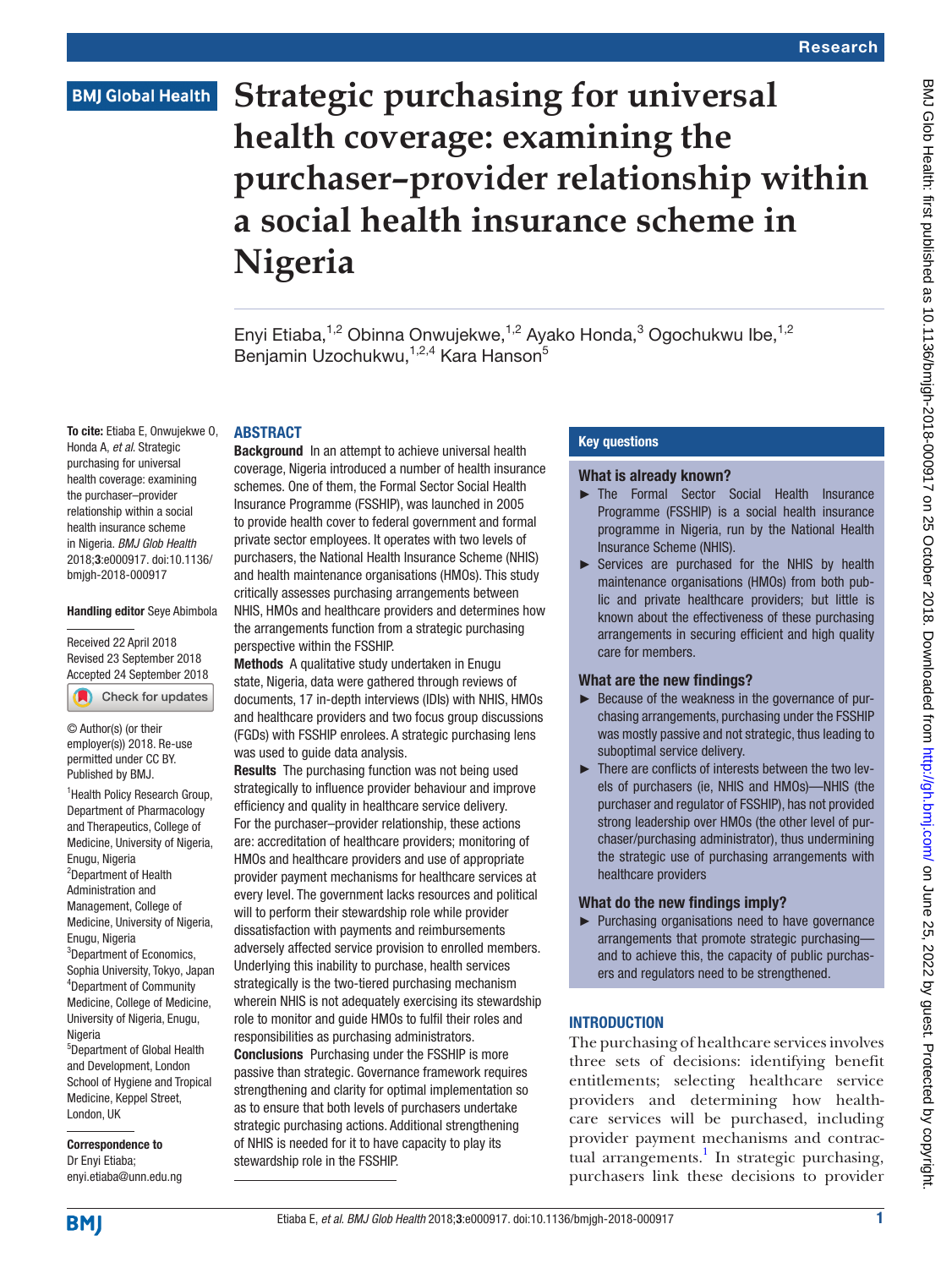# **Strategic purchasing for universal health coverage: examining the purchaser–provider relationship within a social health insurance scheme in Nigeria**

Enyi Etiaba,<sup>1,2</sup> Obinna Onwujekwe,<sup>1,2</sup> Ayako Honda,<sup>3</sup> Ogochukwu Ibe,<sup>1,2</sup> Benjamin Uzochukwu,<sup>1,2,4</sup> Kara Hanson<sup>5</sup>

### **ABSTRACT**

To cite: Etiaba E, Onwujekwe O, Honda A, *et al*. Strategic purchasing for universal health coverage: examining the purchaser–provider relationship within a social health insurance scheme in Nigeria. *BMJ Glob Health* 2018;3:e000917. doi:10.1136/ bmjgh-2018-000917

#### Handling editor Seye Abimbola

Received 22 April 2018 Revised 23 September 2018 [Accepted 24 September 2018](http://crossmark.crossref.org/dialog/?doi=10.1136/bmjgh-2018-000917&domain=pdf&date_stamp=2018-010-25)

Check for updates

© Author(s) (or their employer(s)) 2018. Re-use permitted under CC BY. Published by BMJ.

<sup>1</sup> Health Policy Research Group, Department of Pharmacology and Therapeutics, College of Medicine, University of Nigeria, Enugu, Nigeria <sup>2</sup>Department of Health Administration and Management, College of Medicine, University of Nigeria, Enugu, Nigeria <sup>3</sup>Department of Economics, Sophia University, Tokyo, Japan 4 Department of Community Medicine, College of Medicine, University of Nigeria, Enugu, **Nigeria** 5 Department of Global Health

and Development, London School of Hygiene and Tropical Medicine, Keppel Street, London, UK

Correspondence to Dr Enyi Etiaba; enyi.etiaba@unn.edu.ng

Background In an attempt to achieve universal health coverage, Nigeria introduced a number of health insurance schemes. One of them, the Formal Sector Social Health Insurance Programme (FSSHIP), was launched in 2005 to provide health cover to federal government and formal private sector employees. It operates with two levels of purchasers, the National Health Insurance Scheme (NHIS) and health maintenance organisations (HMOs). This study critically assesses purchasing arrangements between NHIS, HMOs and healthcare providers and determines how the arrangements function from a strategic purchasing perspective within the FSSHIP.

Methods A qualitative study undertaken in Enugu state, Nigeria, data were gathered through reviews of documents, 17 in-depth interviews (IDIs) with NHIS, HMOs and healthcare providers and two focus group discussions (FGDs) with FSSHIP enrolees. A strategic purchasing lens was used to quide data analysis.

Results The purchasing function was not being used strategically to influence provider behaviour and improve efficiency and quality in healthcare service delivery. For the purchaser–provider relationship, these actions are: accreditation of healthcare providers; monitoring of HMOs and healthcare providers and use of appropriate provider payment mechanisms for healthcare services at every level. The government lacks resources and political will to perform their stewardship role while provider dissatisfaction with payments and reimbursements adversely affected service provision to enrolled members. Underlying this inability to purchase, health services strategically is the two-tiered purchasing mechanism wherein NHIS is not adequately exercising its stewardship role to monitor and guide HMOs to fulfil their roles and responsibilities as purchasing administrators. Conclusions Purchasing under the FSSHIP is more passive than strategic. Governance framework requires strengthening and clarity for optimal implementation so as to ensure that both levels of purchasers undertake strategic purchasing actions. Additional strengthening of NHIS is needed for it to have capacity to play its

stewardship role in the FSSHIP.

## Key questions

#### What is already known?

- ► The Formal Sector Social Health Insurance Programme (FSSHIP) is a social health insurance programme in Nigeria, run by the National Health Insurance Scheme (NHIS).
- ► Services are purchased for the NHIS by health maintenance organisations (HMOs) from both public and private healthcare providers; but little is known about the effectiveness of these purchasing arrangements in securing efficient and high quality care for members.

### What are the new findings?

- ► Because of the weakness in the governance of purchasing arrangements, purchasing under the FSSHIP was mostly passive and not strategic, thus leading to suboptimal service delivery.
- ► There are conflicts of interests between the two levels of purchasers (ie, NHIS and HMOs)—NHIS (the purchaser and regulator of FSSHIP), has not provided strong leadership over HMOs (the other level of purchaser/purchasing administrator), thus undermining the strategic use of purchasing arrangements with healthcare providers

#### What do the new findings imply?

► Purchasing organisations need to have governance arrangements that promote strategic purchasing and to achieve this, the capacity of public purchasers and regulators need to be strengthened.

## **INTRODUCTION**

The purchasing of healthcare services involves three sets of decisions: identifying benefit entitlements; selecting healthcare service providers and determining how healthcare services will be purchased, including provider payment mechanisms and contrac-tual arrangements.<sup>[1](#page-8-0)</sup> In strategic purchasing, purchasers link these decisions to provider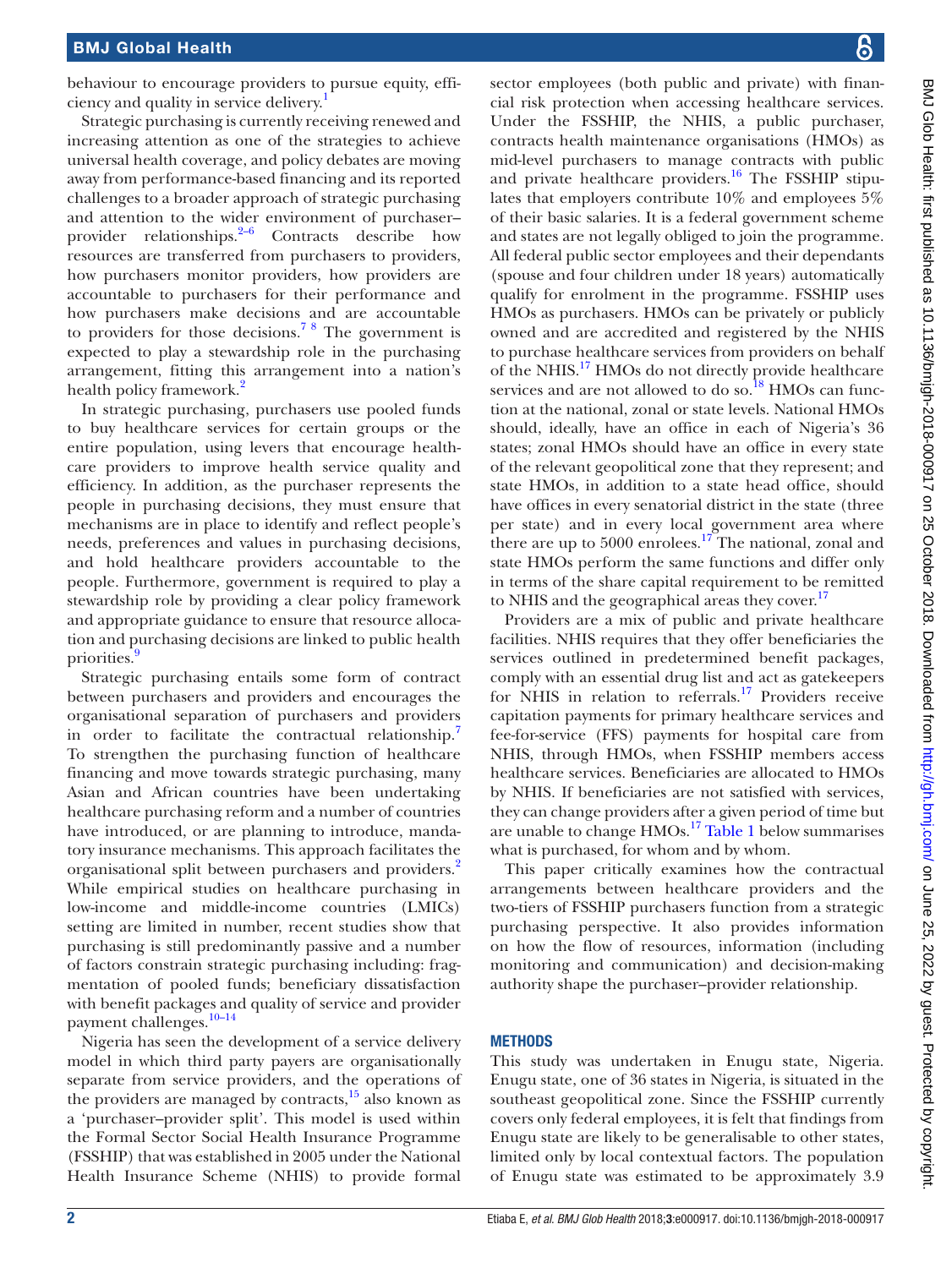behaviour to encourage providers to pursue equity, efficiency and quality in service delivery[.1](#page-8-0)

Strategic purchasing is currently receiving renewed and increasing attention as one of the strategies to achieve universal health coverage, and policy debates are moving away from performance-based financing and its reported challenges to a broader approach of strategic purchasing and attention to the wider environment of purchaser– provider relationships. $2-6$  Contracts describe how resources are transferred from purchasers to providers, how purchasers monitor providers, how providers are accountable to purchasers for their performance and how purchasers make decisions and are accountable to providers for those decisions.<sup>78</sup> The government is expected to play a stewardship role in the purchasing arrangement, fitting this arrangement into a nation's health policy framework.<sup>2</sup>

In strategic purchasing, purchasers use pooled funds to buy healthcare services for certain groups or the entire population, using levers that encourage healthcare providers to improve health service quality and efficiency. In addition, as the purchaser represents the people in purchasing decisions, they must ensure that mechanisms are in place to identify and reflect people's needs, preferences and values in purchasing decisions, and hold healthcare providers accountable to the people. Furthermore, government is required to play a stewardship role by providing a clear policy framework and appropriate guidance to ensure that resource allocation and purchasing decisions are linked to public health priorities.<sup>9</sup>

Strategic purchasing entails some form of contract between purchasers and providers and encourages the organisational separation of purchasers and providers in order to facilitate the contractual relationship.<sup>[7](#page-8-2)</sup> To strengthen the purchasing function of healthcare financing and move towards strategic purchasing, many Asian and African countries have been undertaking healthcare purchasing reform and a number of countries have introduced, or are planning to introduce, mandatory insurance mechanisms. This approach facilitates the organisational split between purchasers and providers.[2](#page-8-1) While empirical studies on healthcare purchasing in low-income and middle-income countries (LMICs) setting are limited in number, recent studies show that purchasing is still predominantly passive and a number of factors constrain strategic purchasing including: fragmentation of pooled funds; beneficiary dissatisfaction with benefit packages and quality of service and provider payment challenges.<sup>10-14</sup>

Nigeria has seen the development of a service delivery model in which third party payers are organisationally separate from service providers, and the operations of the providers are managed by contracts, $\frac{15}{15}$  also known as a 'purchaser–provider split'. This model is used within the Formal Sector Social Health Insurance Programme (FSSHIP) that was established in 2005 under the National Health Insurance Scheme (NHIS) to provide formal

sector employees (both public and private) with financial risk protection when accessing healthcare services. Under the FSSHIP, the NHIS, a public purchaser, contracts health maintenance organisations (HMOs) as mid-level purchasers to manage contracts with public and private healthcare providers.<sup>16</sup> The FSSHIP stipulates that employers contribute 10% and employees 5% of their basic salaries. It is a federal government scheme and states are not legally obliged to join the programme. All federal public sector employees and their dependants (spouse and four children under 18 years) automatically qualify for enrolment in the programme. FSSHIP uses HMOs as purchasers. HMOs can be privately or publicly owned and are accredited and registered by the NHIS to purchase healthcare services from providers on behalf of the NHIS.[17](#page-8-7) HMOs do not directly provide healthcare services and are not allowed to do so. $^{18}$  $^{18}$  $^{18}$  HMOs can function at the national, zonal or state levels. National HMOs should, ideally, have an office in each of Nigeria's 36 states; zonal HMOs should have an office in every state of the relevant geopolitical zone that they represent; and state HMOs, in addition to a state head office, should have offices in every senatorial district in the state (three per state) and in every local government area where there are up to  $5000$  enrolees.<sup>17</sup> The national, zonal and state HMOs perform the same functions and differ only in terms of the share capital requirement to be remitted to NHIS and the geographical areas they cover.<sup>[17](#page-8-7)</sup>

Providers are a mix of public and private healthcare facilities. NHIS requires that they offer beneficiaries the services outlined in predetermined benefit packages, comply with an essential drug list and act as gatekeepers for NHIS in relation to referrals.<sup>[17](#page-8-7)</sup> Providers receive capitation payments for primary healthcare services and fee-for-service (FFS) payments for hospital care from NHIS, through HMOs, when FSSHIP members access healthcare services. Beneficiaries are allocated to HMOs by NHIS. If beneficiaries are not satisfied with services, they can change providers after a given period of time but are unable to change HMOs.[17](#page-8-7) [Table](#page-2-0) 1 below summarises what is purchased, for whom and by whom.

This paper critically examines how the contractual arrangements between healthcare providers and the two-tiers of FSSHIP purchasers function from a strategic purchasing perspective. It also provides information on how the flow of resources, information (including monitoring and communication) and decision-making authority shape the purchaser–provider relationship.

### **METHODS**

This study was undertaken in Enugu state, Nigeria. Enugu state, one of 36 states in Nigeria, is situated in the southeast geopolitical zone. Since the FSSHIP currently covers only federal employees, it is felt that findings from Enugu state are likely to be generalisable to other states, limited only by local contextual factors. The population of Enugu state was estimated to be approximately 3.9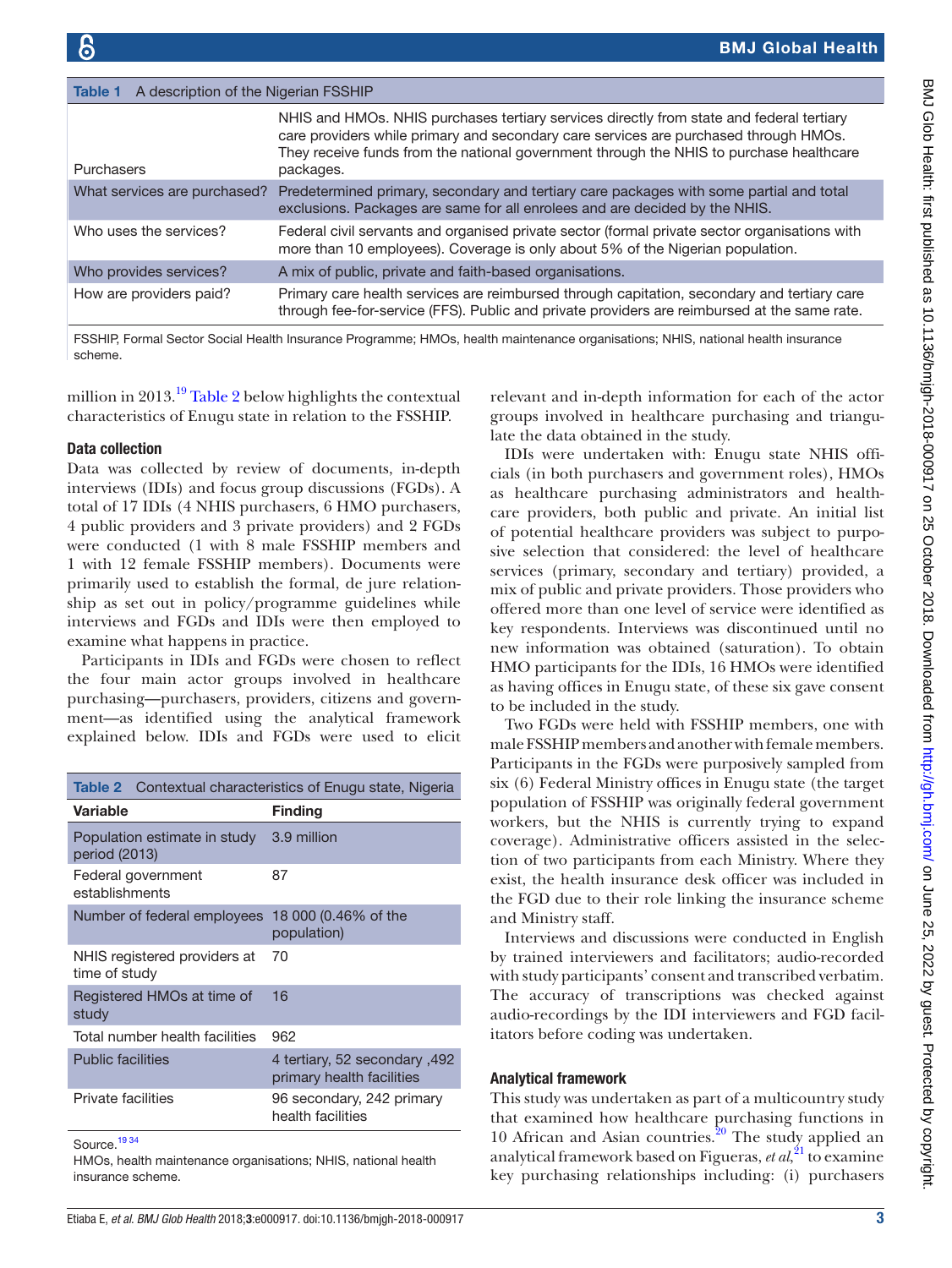<span id="page-2-0"></span>

| A description of the Nigerian FSSHIP<br>Table 1 |                                                                                                                                                                                                                                                                                          |  |
|-------------------------------------------------|------------------------------------------------------------------------------------------------------------------------------------------------------------------------------------------------------------------------------------------------------------------------------------------|--|
| <b>Purchasers</b>                               | NHIS and HMOs. NHIS purchases tertiary services directly from state and federal tertiary<br>care providers while primary and secondary care services are purchased through HMOs.<br>They receive funds from the national government through the NHIS to purchase healthcare<br>packages. |  |
| What services are purchased?                    | Predetermined primary, secondary and tertiary care packages with some partial and total<br>exclusions. Packages are same for all enrolees and are decided by the NHIS.                                                                                                                   |  |
| Who uses the services?                          | Federal civil servants and organised private sector (formal private sector organisations with<br>more than 10 employees). Coverage is only about 5% of the Nigerian population.                                                                                                          |  |
| Who provides services?                          | A mix of public, private and faith-based organisations.                                                                                                                                                                                                                                  |  |
| How are providers paid?                         | Primary care health services are reimbursed through capitation, secondary and tertiary care<br>through fee-for-service (FFS). Public and private providers are reimbursed at the same rate.                                                                                              |  |
|                                                 |                                                                                                                                                                                                                                                                                          |  |

FSSHIP, Formal Sector Social Health Insurance Programme; HMOs, health maintenance organisations; NHIS, national health insurance scheme.

million in 2013.<sup>[19](#page-8-9)</sup> [Table](#page-2-1) 2 below highlights the contextual characteristics of Enugu state in relation to the FSSHIP.

#### Data collection

Data was collected by review of documents, in-depth interviews (IDIs) and focus group discussions (FGDs). A total of 17 IDIs (4 NHIS purchasers, 6 HMO purchasers, 4 public providers and 3 private providers) and 2 FGDs were conducted (1 with 8 male FSSHIP members and 1 with 12 female FSSHIP members). Documents were primarily used to establish the formal, de jure relationship as set out in policy/programme guidelines while interviews and FGDs and IDIs were then employed to examine what happens in practice.

Participants in IDIs and FGDs were chosen to reflect the four main actor groups involved in healthcare purchasing—purchasers, providers, citizens and government—as identified using the analytical framework explained below. IDIs and FGDs were used to elicit

<span id="page-2-1"></span>

| Contextual characteristics of Enugu state, Nigeria<br>Table 2 |                                                     |  |  |
|---------------------------------------------------------------|-----------------------------------------------------|--|--|
| Variable                                                      | <b>Finding</b>                                      |  |  |
| Population estimate in study<br>period (2013)                 | 3.9 million                                         |  |  |
| Federal government<br>establishments                          | 87                                                  |  |  |
| Number of federal employees                                   | 18 000 (0.46% of the<br>population)                 |  |  |
| NHIS registered providers at<br>time of study                 | 70                                                  |  |  |
| Registered HMOs at time of<br>study                           | 16                                                  |  |  |
| Total number health facilities                                | 962                                                 |  |  |
| <b>Public facilities</b>                                      | 492, 492 secondary 492<br>primary health facilities |  |  |
| Private facilities                                            | 96 secondary, 242 primary<br>health facilities      |  |  |
| Source. <sup>1934</sup>                                       |                                                     |  |  |

HMOs, health maintenance organisations; NHIS, national health insurance scheme.

relevant and in-depth information for each of the actor groups involved in healthcare purchasing and triangulate the data obtained in the study.

IDIs were undertaken with: Enugu state NHIS officials (in both purchasers and government roles), HMOs as healthcare purchasing administrators and healthcare providers, both public and private. An initial list of potential healthcare providers was subject to purposive selection that considered: the level of healthcare services (primary, secondary and tertiary) provided, a mix of public and private providers. Those providers who offered more than one level of service were identified as key respondents. Interviews was discontinued until no new information was obtained (saturation). To obtain HMO participants for the IDIs, 16 HMOs were identified as having offices in Enugu state, of these six gave consent to be included in the study.

Two FGDs were held with FSSHIP members, one with male FSSHIP members and another with female members. Participants in the FGDs were purposively sampled from six (6) Federal Ministry offices in Enugu state (the target population of FSSHIP was originally federal government workers, but the NHIS is currently trying to expand coverage). Administrative officers assisted in the selection of two participants from each Ministry. Where they exist, the health insurance desk officer was included in the FGD due to their role linking the insurance scheme and Ministry staff.

Interviews and discussions were conducted in English by trained interviewers and facilitators; audio-recorded with study participants' consent and transcribed verbatim. The accuracy of transcriptions was checked against audio-recordings by the IDI interviewers and FGD facilitators before coding was undertaken.

#### Analytical framework

This study was undertaken as part of a multicountry study that examined how healthcare purchasing functions in 10 African and Asian countries. $20$  The study applied an analytical framework based on Figueras, *et al*, [21](#page-8-11) to examine key purchasing relationships including: (i) purchasers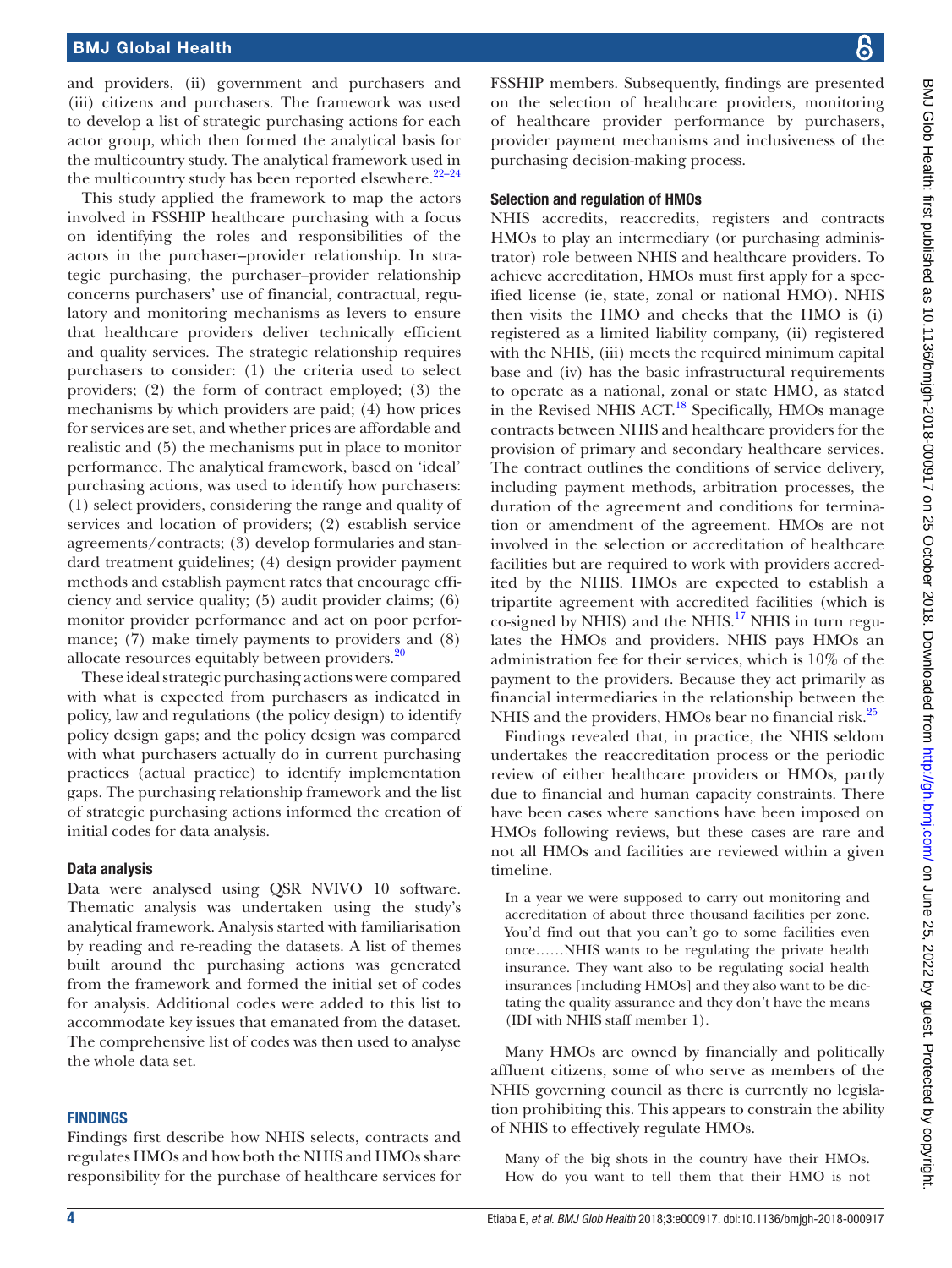and providers, (ii) government and purchasers and (iii) citizens and purchasers. The framework was used to develop a list of strategic purchasing actions for each actor group, which then formed the analytical basis for the multicountry study. The analytical framework used in the multicountry study has been reported elsewhere. $22-24$ 

This study applied the framework to map the actors involved in FSSHIP healthcare purchasing with a focus on identifying the roles and responsibilities of the actors in the purchaser–provider relationship. In strategic purchasing, the purchaser–provider relationship concerns purchasers' use of financial, contractual, regulatory and monitoring mechanisms as levers to ensure that healthcare providers deliver technically efficient and quality services. The strategic relationship requires purchasers to consider: (1) the criteria used to select providers; (2) the form of contract employed; (3) the mechanisms by which providers are paid; (4) how prices for services are set, and whether prices are affordable and realistic and (5) the mechanisms put in place to monitor performance. The analytical framework, based on 'ideal' purchasing actions, was used to identify how purchasers: (1) select providers, considering the range and quality of services and location of providers; (2) establish service agreements/contracts; (3) develop formularies and standard treatment guidelines; (4) design provider payment methods and establish payment rates that encourage efficiency and service quality; (5) audit provider claims; (6) monitor provider performance and act on poor performance; (7) make timely payments to providers and (8) allocate resources equitably between providers. $\frac{20}{20}$  $\frac{20}{20}$  $\frac{20}{20}$ 

These ideal strategic purchasing actions were compared with what is expected from purchasers as indicated in policy, law and regulations (the policy design) to identify policy design gaps; and the policy design was compared with what purchasers actually do in current purchasing practices (actual practice) to identify implementation gaps. The purchasing relationship framework and the list of strategic purchasing actions informed the creation of initial codes for data analysis.

#### Data analysis

Data were analysed using QSR NVIVO 10 software. Thematic analysis was undertaken using the study's analytical framework. Analysis started with familiarisation by reading and re-reading the datasets. A list of themes built around the purchasing actions was generated from the framework and formed the initial set of codes for analysis. Additional codes were added to this list to accommodate key issues that emanated from the dataset. The comprehensive list of codes was then used to analyse the whole data set.

#### **FINDINGS**

Findings first describe how NHIS selects, contracts and regulates HMOs and how both the NHIS and HMOs share responsibility for the purchase of healthcare services for FSSHIP members. Subsequently, findings are presented on the selection of healthcare providers, monitoring of healthcare provider performance by purchasers, provider payment mechanisms and inclusiveness of the purchasing decision-making process.

#### Selection and regulation of HMOs

NHIS accredits, reaccredits, registers and contracts HMOs to play an intermediary (or purchasing administrator) role between NHIS and healthcare providers. To achieve accreditation, HMOs must first apply for a specified license (ie, state, zonal or national HMO). NHIS then visits the HMO and checks that the HMO is (i) registered as a limited liability company, (ii) registered with the NHIS, (iii) meets the required minimum capital base and (iv) has the basic infrastructural requirements to operate as a national, zonal or state HMO, as stated in the Revised NHIS ACT. $^{18}$  Specifically, HMOs manage contracts between NHIS and healthcare providers for the provision of primary and secondary healthcare services. The contract outlines the conditions of service delivery, including payment methods, arbitration processes, the duration of the agreement and conditions for termination or amendment of the agreement. HMOs are not involved in the selection or accreditation of healthcare facilities but are required to work with providers accredited by the NHIS. HMOs are expected to establish a tripartite agreement with accredited facilities (which is co-signed by NHIS) and the NHIS.<sup>17</sup> NHIS in turn regulates the HMOs and providers. NHIS pays HMOs an administration fee for their services, which is 10% of the payment to the providers. Because they act primarily as financial intermediaries in the relationship between the NHIS and the providers, HMOs bear no financial risk.<sup>[25](#page-8-13)</sup>

Findings revealed that, in practice, the NHIS seldom undertakes the reaccreditation process or the periodic review of either healthcare providers or HMOs, partly due to financial and human capacity constraints. There have been cases where sanctions have been imposed on HMOs following reviews, but these cases are rare and not all HMOs and facilities are reviewed within a given timeline.

In a year we were supposed to carry out monitoring and accreditation of about three thousand facilities per zone. You'd find out that you can't go to some facilities even once……NHIS wants to be regulating the private health insurance. They want also to be regulating social health insurances [including HMOs] and they also want to be dictating the quality assurance and they don't have the means (IDI with NHIS staff member 1).

Many HMOs are owned by financially and politically affluent citizens, some of who serve as members of the NHIS governing council as there is currently no legislation prohibiting this. This appears to constrain the ability of NHIS to effectively regulate HMOs.

Many of the big shots in the country have their HMOs. How do you want to tell them that their HMO is not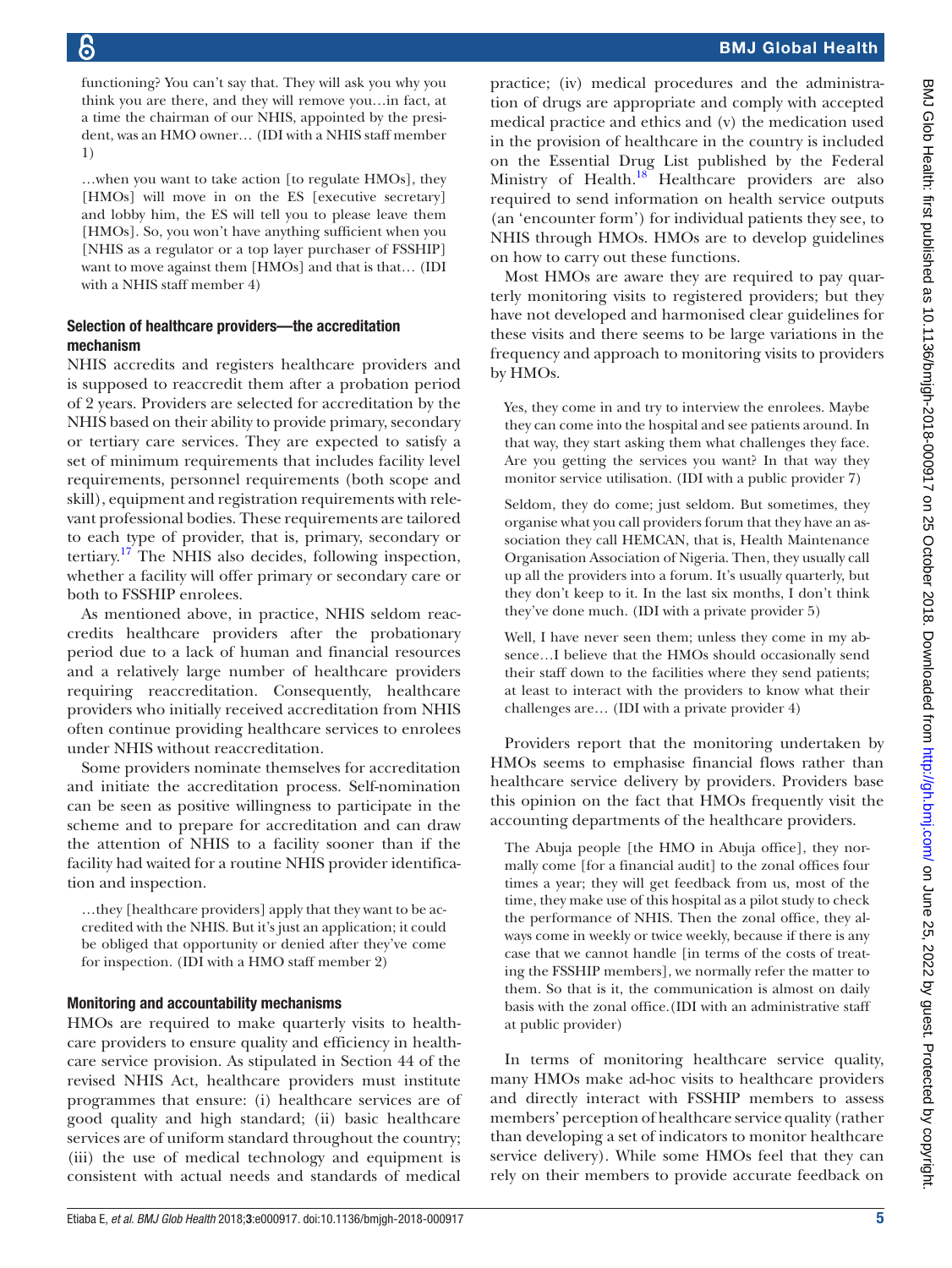functioning? You can't say that. They will ask you why you think you are there, and they will remove you…in fact, at a time the chairman of our NHIS, appointed by the president, was an HMO owner… (IDI with a NHIS staff member 1)

…when you want to take action [to regulate HMOs], they [HMOs] will move in on the ES [executive secretary] and lobby him, the ES will tell you to please leave them [HMOs]. So, you won't have anything sufficient when you [NHIS as a regulator or a top layer purchaser of FSSHIP] want to move against them [HMOs] and that is that… (IDI with a NHIS staff member 4)

## Selection of healthcare providers—the accreditation mechanism

NHIS accredits and registers healthcare providers and is supposed to reaccredit them after a probation period of 2 years. Providers are selected for accreditation by the NHIS based on their ability to provide primary, secondary or tertiary care services. They are expected to satisfy a set of minimum requirements that includes facility level requirements, personnel requirements (both scope and skill), equipment and registration requirements with relevant professional bodies. These requirements are tailored to each type of provider, that is, primary, secondary or tertiary. $17$  The NHIS also decides, following inspection, whether a facility will offer primary or secondary care or both to FSSHIP enrolees.

As mentioned above, in practice, NHIS seldom reaccredits healthcare providers after the probationary period due to a lack of human and financial resources and a relatively large number of healthcare providers requiring reaccreditation. Consequently, healthcare providers who initially received accreditation from NHIS often continue providing healthcare services to enrolees under NHIS without reaccreditation.

Some providers nominate themselves for accreditation and initiate the accreditation process. Self-nomination can be seen as positive willingness to participate in the scheme and to prepare for accreditation and can draw the attention of NHIS to a facility sooner than if the facility had waited for a routine NHIS provider identification and inspection.

…they [healthcare providers] apply that they want to be accredited with the NHIS. But it's just an application; it could be obliged that opportunity or denied after they've come for inspection. (IDI with a HMO staff member 2)

### Monitoring and accountability mechanisms

HMOs are required to make quarterly visits to healthcare providers to ensure quality and efficiency in healthcare service provision. As stipulated in Section 44 of the revised NHIS Act, healthcare providers must institute programmes that ensure: (i) healthcare services are of good quality and high standard; (ii) basic healthcare services are of uniform standard throughout the country; (iii) the use of medical technology and equipment is consistent with actual needs and standards of medical

practice; (iv) medical procedures and the administration of drugs are appropriate and comply with accepted medical practice and ethics and (v) the medication used in the provision of healthcare in the country is included on the Essential Drug List published by the Federal Ministry of Health.<sup>18</sup> Healthcare providers are also required to send information on health service outputs (an 'encounter form') for individual patients they see, to NHIS through HMOs. HMOs are to develop guidelines on how to carry out these functions.

Most HMOs are aware they are required to pay quarterly monitoring visits to registered providers; but they have not developed and harmonised clear guidelines for these visits and there seems to be large variations in the frequency and approach to monitoring visits to providers by HMOs.

Yes, they come in and try to interview the enrolees. Maybe they can come into the hospital and see patients around. In that way, they start asking them what challenges they face. Are you getting the services you want? In that way they monitor service utilisation. (IDI with a public provider 7)

Seldom, they do come; just seldom. But sometimes, they organise what you call providers forum that they have an association they call HEMCAN, that is, Health Maintenance Organisation Association of Nigeria. Then, they usually call up all the providers into a forum. It's usually quarterly, but they don't keep to it. In the last six months, I don't think they've done much. (IDI with a private provider 5)

Well, I have never seen them; unless they come in my absence*…*I believe that the HMOs should occasionally send their staff down to the facilities where they send patients; at least to interact with the providers to know what their challenges are… (IDI with a private provider 4)

Providers report that the monitoring undertaken by HMOs seems to emphasise financial flows rather than healthcare service delivery by providers. Providers base this opinion on the fact that HMOs frequently visit the accounting departments of the healthcare providers.

The Abuja people [the HMO in Abuja office], they normally come [for a financial audit] to the zonal offices four times a year; they will get feedback from us, most of the time, they make use of this hospital as a pilot study to check the performance of NHIS. Then the zonal office, they always come in weekly or twice weekly, because if there is any case that we cannot handle [in terms of the costs of treating the FSSHIP members], we normally refer the matter to them. So that is it, the communication is almost on daily basis with the zonal office.(IDI with an administrative staff at public provider)

In terms of monitoring healthcare service quality, many HMOs make ad-hoc visits to healthcare providers and directly interact with FSSHIP members to assess members' perception of healthcare service quality (rather than developing a set of indicators to monitor healthcare service delivery). While some HMOs feel that they can rely on their members to provide accurate feedback on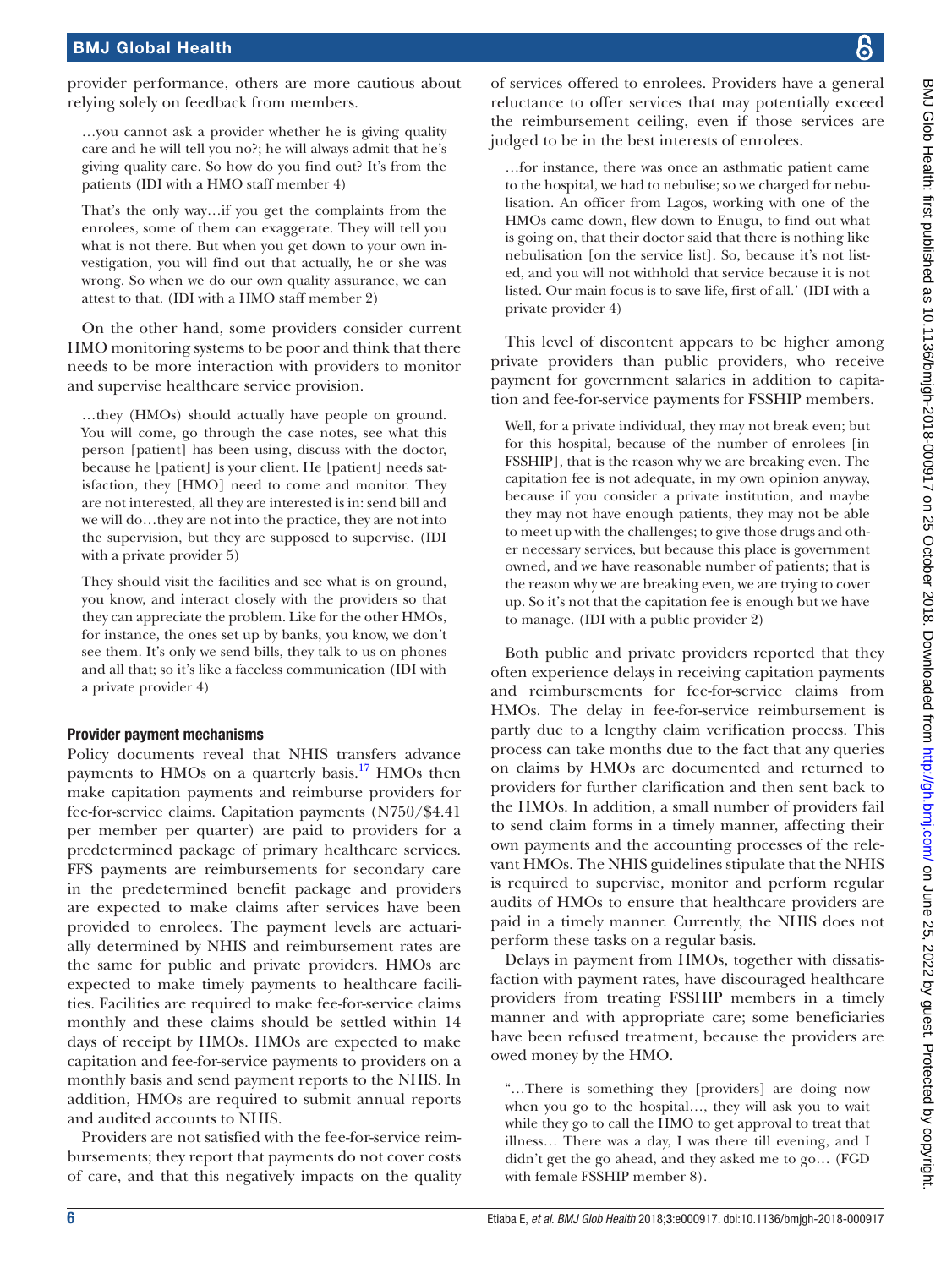provider performance, others are more cautious about relying solely on feedback from members.

> …you cannot ask a provider whether he is giving quality care and he will tell you no?; he will always admit that he's giving quality care. So how do you find out? It's from the patients (IDI with a HMO staff member 4)

> That's the only way…if you get the complaints from the enrolees, some of them can exaggerate. They will tell you what is not there. But when you get down to your own investigation, you will find out that actually, he or she was wrong. So when we do our own quality assurance, we can attest to that. (IDI with a HMO staff member 2)

On the other hand, some providers consider current HMO monitoring systems to be poor and think that there needs to be more interaction with providers to monitor and supervise healthcare service provision.

…they (HMOs) should actually have people on ground. You will come, go through the case notes, see what this person [patient] has been using, discuss with the doctor, because he [patient] is your client. He [patient] needs satisfaction, they [HMO] need to come and monitor. They are not interested, all they are interested is in: send bill and we will do…they are not into the practice, they are not into the supervision, but they are supposed to supervise. (IDI with a private provider 5)

They should visit the facilities and see what is on ground, you know, and interact closely with the providers so that they can appreciate the problem. Like for the other HMOs, for instance, the ones set up by banks, you know, we don't see them. It's only we send bills, they talk to us on phones and all that; so it's like a faceless communication (IDI with a private provider 4)

## Provider payment mechanisms

Policy documents reveal that NHIS transfers advance payments to HMOs on a quarterly basis.<sup>[17](#page-8-7)</sup> HMOs then make capitation payments and reimburse providers for fee-for-service claims. Capitation payments (N750/\$4.41 per member per quarter) are paid to providers for a predetermined package of primary healthcare services. FFS payments are reimbursements for secondary care in the predetermined benefit package and providers are expected to make claims after services have been provided to enrolees. The payment levels are actuarially determined by NHIS and reimbursement rates are the same for public and private providers. HMOs are expected to make timely payments to healthcare facilities. Facilities are required to make fee-for-service claims monthly and these claims should be settled within 14 days of receipt by HMOs. HMOs are expected to make capitation and fee-for-service payments to providers on a monthly basis and send payment reports to the NHIS. In addition, HMOs are required to submit annual reports and audited accounts to NHIS.

Providers are not satisfied with the fee-for-service reimbursements; they report that payments do not cover costs of care, and that this negatively impacts on the quality

of services offered to enrolees. Providers have a general reluctance to offer services that may potentially exceed the reimbursement ceiling, even if those services are judged to be in the best interests of enrolees.

…for instance, there was once an asthmatic patient came to the hospital, we had to nebulise; so we charged for nebulisation. An officer from Lagos, working with one of the HMOs came down, flew down to Enugu, to find out what is going on, that their doctor said that there is nothing like nebulisation [on the service list]. So, because it's not listed, and you will not withhold that service because it is not listed. Our main focus is to save life, first of all.' (IDI with a private provider 4)

This level of discontent appears to be higher among private providers than public providers, who receive payment for government salaries in addition to capitation and fee-for-service payments for FSSHIP members.

Well, for a private individual, they may not break even; but for this hospital, because of the number of enrolees [in FSSHIP], that is the reason why we are breaking even. The capitation fee is not adequate, in my own opinion anyway, because if you consider a private institution, and maybe they may not have enough patients, they may not be able to meet up with the challenges; to give those drugs and other necessary services, but because this place is government owned, and we have reasonable number of patients; that is the reason why we are breaking even, we are trying to cover up. So it's not that the capitation fee is enough but we have to manage. (IDI with a public provider 2)

Both public and private providers reported that they often experience delays in receiving capitation payments and reimbursements for fee-for-service claims from HMOs. The delay in fee-for-service reimbursement is partly due to a lengthy claim verification process. This process can take months due to the fact that any queries on claims by HMOs are documented and returned to providers for further clarification and then sent back to the HMOs. In addition, a small number of providers fail to send claim forms in a timely manner, affecting their own payments and the accounting processes of the relevant HMOs. The NHIS guidelines stipulate that the NHIS is required to supervise, monitor and perform regular audits of HMOs to ensure that healthcare providers are paid in a timely manner. Currently, the NHIS does not perform these tasks on a regular basis.

Delays in payment from HMOs, together with dissatisfaction with payment rates, have discouraged healthcare providers from treating FSSHIP members in a timely manner and with appropriate care; some beneficiaries have been refused treatment, because the providers are owed money by the HMO.

"…There is something they [providers] are doing now when you go to the hospital…, they will ask you to wait while they go to call the HMO to get approval to treat that illness… There was a day, I was there till evening, and I didn't get the go ahead, and they asked me to go… (FGD with female FSSHIP member 8).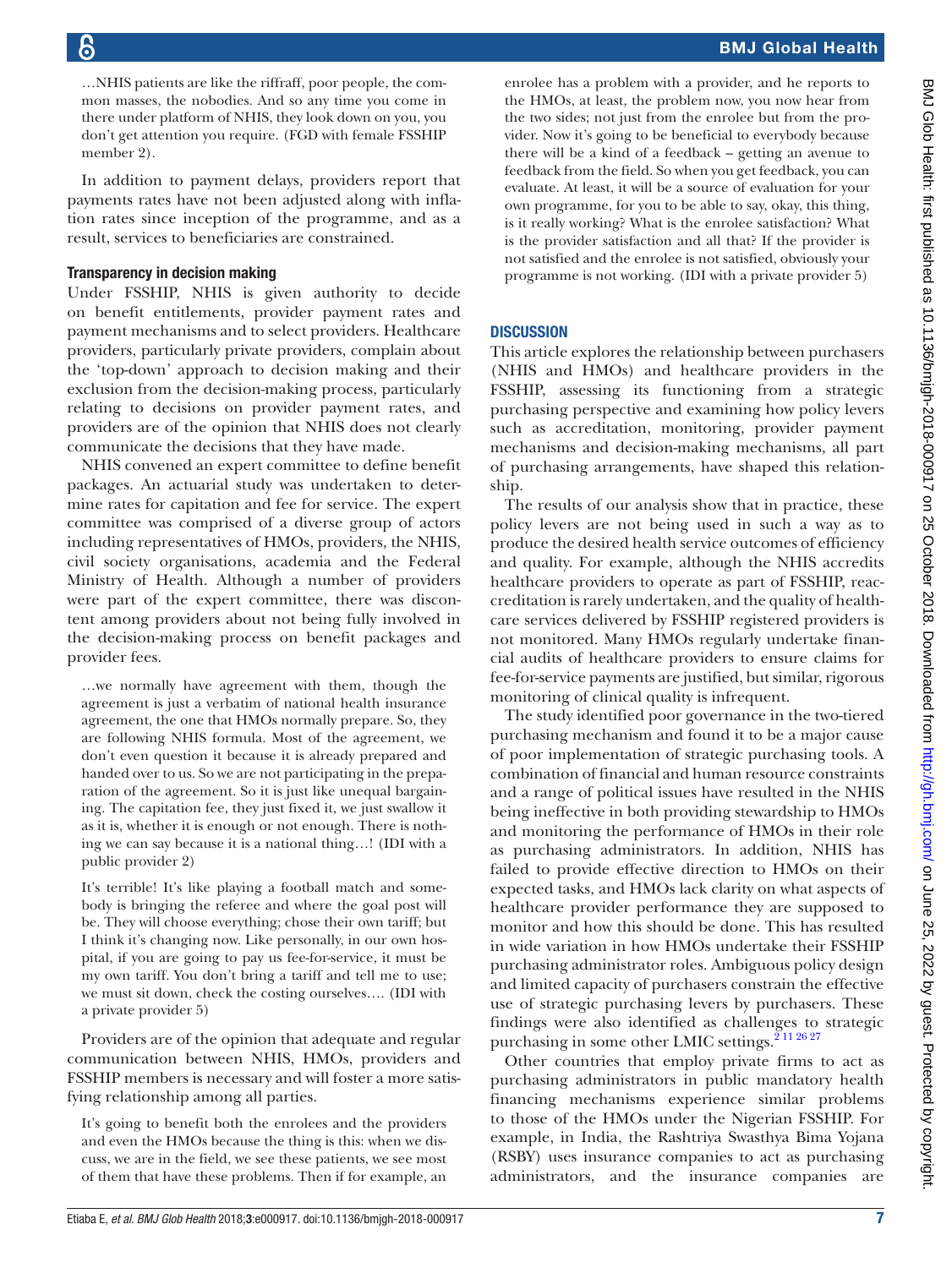…NHIS patients are like the riffraff, poor people, the common masses, the nobodies. And so any time you come in there under platform of NHIS, they look down on you, you don't get attention you require. (FGD with female FSSHIP member 2).

In addition to payment delays, providers report that payments rates have not been adjusted along with inflation rates since inception of the programme, and as a result, services to beneficiaries are constrained.

## Transparency in decision making

Under FSSHIP, NHIS is given authority to decide on benefit entitlements, provider payment rates and payment mechanisms and to select providers. Healthcare providers, particularly private providers, complain about the 'top-down' approach to decision making and their exclusion from the decision-making process, particularly relating to decisions on provider payment rates, and providers are of the opinion that NHIS does not clearly communicate the decisions that they have made.

NHIS convened an expert committee to define benefit packages. An actuarial study was undertaken to determine rates for capitation and fee for service. The expert committee was comprised of a diverse group of actors including representatives of HMOs, providers, the NHIS, civil society organisations, academia and the Federal Ministry of Health. Although a number of providers were part of the expert committee, there was discontent among providers about not being fully involved in the decision-making process on benefit packages and provider fees.

…we normally have agreement with them, though the agreement is just a verbatim of national health insurance agreement, the one that HMOs normally prepare. So, they are following NHIS formula. Most of the agreement, we don't even question it because it is already prepared and handed over to us. So we are not participating in the preparation of the agreement. So it is just like unequal bargaining. The capitation fee, they just fixed it, we just swallow it as it is, whether it is enough or not enough. There is nothing we can say because it is a national thing…! (IDI with a public provider 2)

It's terrible! It's like playing a football match and somebody is bringing the referee and where the goal post will be. They will choose everything; chose their own tariff; but I think it's changing now. Like personally, in our own hospital, if you are going to pay us fee-for-service, it must be my own tariff. You don't bring a tariff and tell me to use; we must sit down, check the costing ourselves…. (IDI with a private provider 5)

Providers are of the opinion that adequate and regular communication between NHIS, HMOs, providers and FSSHIP members is necessary and will foster a more satisfying relationship among all parties.

It's going to benefit both the enrolees and the providers and even the HMOs because the thing is this: when we discuss, we are in the field, we see these patients, we see most of them that have these problems. Then if for example, an

enrolee has a problem with a provider, and he reports to the HMOs, at least, the problem now, you now hear from the two sides; not just from the enrolee but from the provider. Now it's going to be beneficial to everybody because there will be a kind of a feedback – getting an avenue to feedback from the field. So when you get feedback, you can evaluate. At least, it will be a source of evaluation for your own programme, for you to be able to say, okay, this thing, is it really working? What is the enrolee satisfaction? What is the provider satisfaction and all that? If the provider is not satisfied and the enrolee is not satisfied, obviously your programme is not working. (IDI with a private provider 5)

# **DISCUSSION**

This article explores the relationship between purchasers (NHIS and HMOs) and healthcare providers in the FSSHIP, assessing its functioning from a strategic purchasing perspective and examining how policy levers such as accreditation, monitoring, provider payment mechanisms and decision-making mechanisms, all part of purchasing arrangements, have shaped this relationship.

The results of our analysis show that in practice, these policy levers are not being used in such a way as to produce the desired health service outcomes of efficiency and quality. For example, although the NHIS accredits healthcare providers to operate as part of FSSHIP, reaccreditation is rarely undertaken, and the quality of healthcare services delivered by FSSHIP registered providers is not monitored. Many HMOs regularly undertake financial audits of healthcare providers to ensure claims for fee-for-service payments are justified, but similar, rigorous monitoring of clinical quality is infrequent.

The study identified poor governance in the two-tiered purchasing mechanism and found it to be a major cause of poor implementation of strategic purchasing tools. A combination of financial and human resource constraints and a range of political issues have resulted in the NHIS being ineffective in both providing stewardship to HMOs and monitoring the performance of HMOs in their role as purchasing administrators. In addition, NHIS has failed to provide effective direction to HMOs on their expected tasks, and HMOs lack clarity on what aspects of healthcare provider performance they are supposed to monitor and how this should be done. This has resulted in wide variation in how HMOs undertake their FSSHIP purchasing administrator roles. Ambiguous policy design and limited capacity of purchasers constrain the effective use of strategic purchasing levers by purchasers. These findings were also identified as challenges to strategic purchasing in some other LMIC settings.<sup>211 26 27</sup>

Other countries that employ private firms to act as purchasing administrators in public mandatory health financing mechanisms experience similar problems to those of the HMOs under the Nigerian FSSHIP. For example, in India, the Rashtriya Swasthya Bima Yojana (RSBY) uses insurance companies to act as purchasing administrators, and the insurance companies are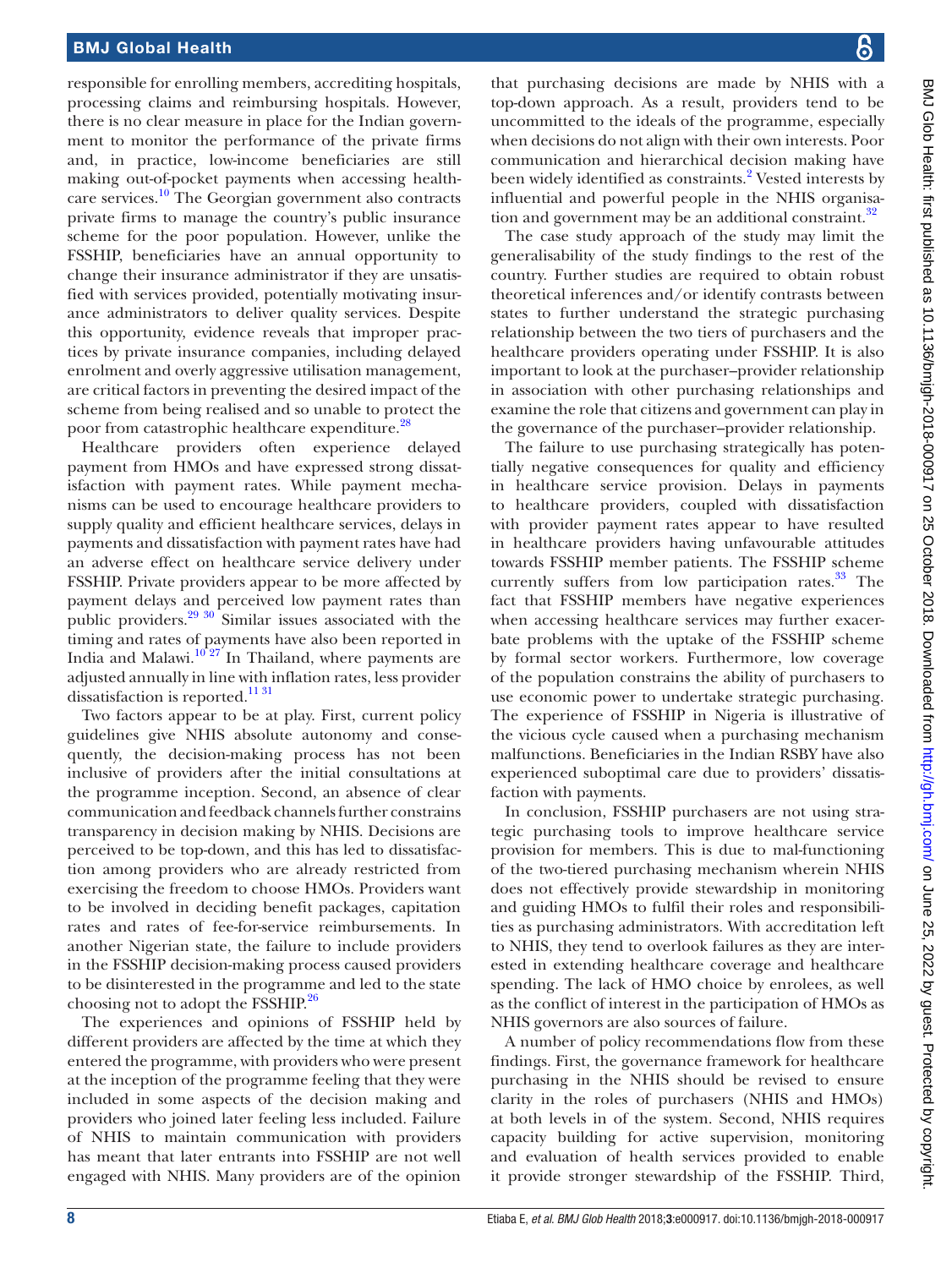responsible for enrolling members, accrediting hospitals, processing claims and reimbursing hospitals. However, there is no clear measure in place for the Indian government to monitor the performance of the private firms and, in practice, low-income beneficiaries are still making out-of-pocket payments when accessing healthcare services.[10](#page-8-4) The Georgian government also contracts private firms to manage the country's public insurance scheme for the poor population. However, unlike the FSSHIP, beneficiaries have an annual opportunity to change their insurance administrator if they are unsatisfied with services provided, potentially motivating insurance administrators to deliver quality services. Despite this opportunity, evidence reveals that improper practices by private insurance companies, including delayed enrolment and overly aggressive utilisation management, are critical factors in preventing the desired impact of the scheme from being realised and so unable to protect the poor from catastrophic healthcare expenditure.<sup>28</sup>

Healthcare providers often experience delayed payment from HMOs and have expressed strong dissatisfaction with payment rates. While payment mechanisms can be used to encourage healthcare providers to supply quality and efficient healthcare services, delays in payments and dissatisfaction with payment rates have had an adverse effect on healthcare service delivery under FSSHIP. Private providers appear to be more affected by payment delays and perceived low payment rates than public providers. $29\frac{30}{10}$  Similar issues associated with the timing and rates of payments have also been reported in India and Malawi. $10^{10}27$  In Thailand, where payments are adjusted annually in line with inflation rates, less provider dissatisfaction is reported.<sup>1131</sup>

Two factors appear to be at play. First, current policy guidelines give NHIS absolute autonomy and consequently, the decision-making process has not been inclusive of providers after the initial consultations at the programme inception. Second, an absence of clear communication and feedback channels further constrains transparency in decision making by NHIS. Decisions are perceived to be top-down, and this has led to dissatisfaction among providers who are already restricted from exercising the freedom to choose HMOs. Providers want to be involved in deciding benefit packages, capitation rates and rates of fee-for-service reimbursements. In another Nigerian state, the failure to include providers in the FSSHIP decision-making process caused providers to be disinterested in the programme and led to the state choosing not to adopt the FSSHIP.<sup>26</sup>

The experiences and opinions of FSSHIP held by different providers are affected by the time at which they entered the programme, with providers who were present at the inception of the programme feeling that they were included in some aspects of the decision making and providers who joined later feeling less included. Failure of NHIS to maintain communication with providers has meant that later entrants into FSSHIP are not well engaged with NHIS. Many providers are of the opinion

that purchasing decisions are made by NHIS with a top-down approach. As a result, providers tend to be uncommitted to the ideals of the programme, especially when decisions do not align with their own interests. Poor communication and hierarchical decision making have been widely identified as constraints.<sup>2</sup> Vested interests by influential and powerful people in the NHIS organisation and government may be an additional constraint.<sup>32</sup>

The case study approach of the study may limit the generalisability of the study findings to the rest of the country. Further studies are required to obtain robust theoretical inferences and/or identify contrasts between states to further understand the strategic purchasing relationship between the two tiers of purchasers and the healthcare providers operating under FSSHIP. It is also important to look at the purchaser–provider relationship in association with other purchasing relationships and examine the role that citizens and government can play in the governance of the purchaser–provider relationship.

The failure to use purchasing strategically has potentially negative consequences for quality and efficiency in healthcare service provision. Delays in payments to healthcare providers, coupled with dissatisfaction with provider payment rates appear to have resulted in healthcare providers having unfavourable attitudes towards FSSHIP member patients. The FSSHIP scheme currently suffers from low participation rates.<sup>[33](#page-8-19)</sup> The fact that FSSHIP members have negative experiences when accessing healthcare services may further exacerbate problems with the uptake of the FSSHIP scheme by formal sector workers. Furthermore, low coverage of the population constrains the ability of purchasers to use economic power to undertake strategic purchasing. The experience of FSSHIP in Nigeria is illustrative of the vicious cycle caused when a purchasing mechanism malfunctions. Beneficiaries in the Indian RSBY have also experienced suboptimal care due to providers' dissatisfaction with payments.

In conclusion, FSSHIP purchasers are not using strategic purchasing tools to improve healthcare service provision for members. This is due to mal-functioning of the two-tiered purchasing mechanism wherein NHIS does not effectively provide stewardship in monitoring and guiding HMOs to fulfil their roles and responsibilities as purchasing administrators. With accreditation left to NHIS, they tend to overlook failures as they are interested in extending healthcare coverage and healthcare spending. The lack of HMO choice by enrolees, as well as the conflict of interest in the participation of HMOs as NHIS governors are also sources of failure.

A number of policy recommendations flow from these findings. First, the governance framework for healthcare purchasing in the NHIS should be revised to ensure clarity in the roles of purchasers (NHIS and HMOs) at both levels in of the system. Second, NHIS requires capacity building for active supervision, monitoring and evaluation of health services provided to enable it provide stronger stewardship of the FSSHIP. Third,